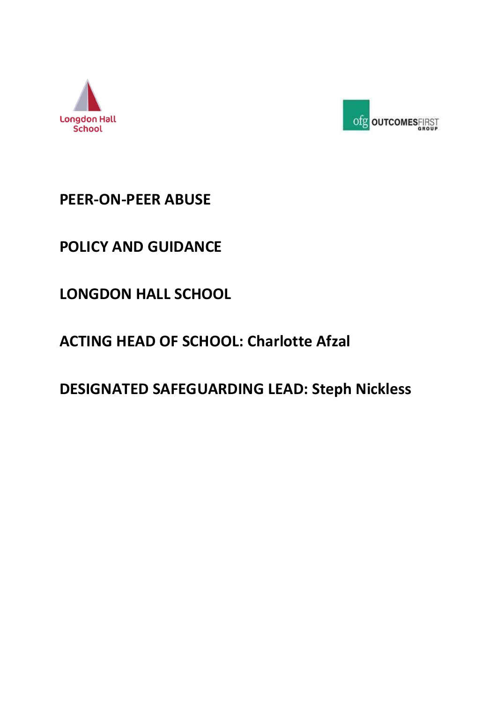



# **PEER-ON-PEER ABUSE**

# **POLICY AND GUIDANCE**

**LONGDON HALL SCHOOL**

# **ACTING HEAD OF SCHOOL: Charlotte Afzal**

**DESIGNATED SAFEGUARDING LEAD: Steph Nickless**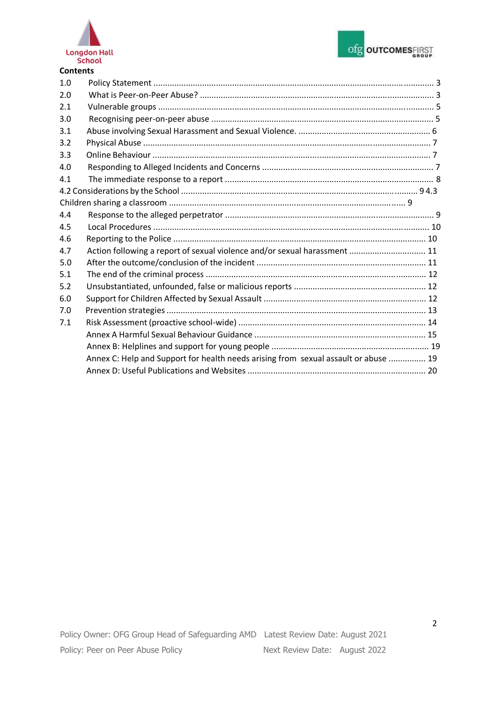



| <b>Contents</b> |                                                                                     |  |
|-----------------|-------------------------------------------------------------------------------------|--|
| 1.0             |                                                                                     |  |
| 2.0             |                                                                                     |  |
| 2.1             |                                                                                     |  |
| 3.0             |                                                                                     |  |
| 3.1             |                                                                                     |  |
| 3.2             |                                                                                     |  |
| 3.3             |                                                                                     |  |
| 4.0             |                                                                                     |  |
| 4.1             |                                                                                     |  |
|                 |                                                                                     |  |
|                 |                                                                                     |  |
| 4.4             |                                                                                     |  |
| 4.5             |                                                                                     |  |
| 4.6             |                                                                                     |  |
| 4.7             | Action following a report of sexual violence and/or sexual harassment  11           |  |
| 5.0             |                                                                                     |  |
| 5.1             |                                                                                     |  |
| 5.2             |                                                                                     |  |
| 6.0             |                                                                                     |  |
| 7.0             |                                                                                     |  |
| 7.1             |                                                                                     |  |
|                 |                                                                                     |  |
|                 |                                                                                     |  |
|                 | Annex C: Help and Support for health needs arising from sexual assault or abuse  19 |  |
|                 |                                                                                     |  |
|                 |                                                                                     |  |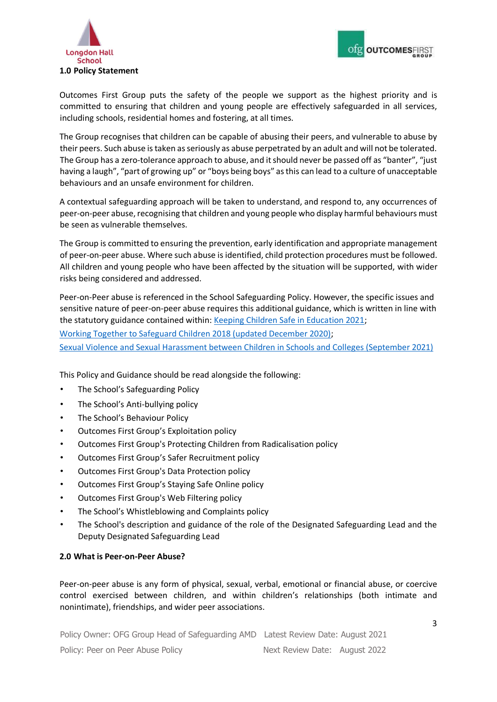



Outcomes First Group puts the safety of the people we support as the highest priority and is committed to ensuring that children and young people are effectively safeguarded in all services, including schools, residential homes and fostering, at all times.

The Group recognises that children can be capable of abusing their peers, and vulnerable to abuse by their peers. Such abuse is taken as seriously as abuse perpetrated by an adult and will not be tolerated. The Group has a zero-tolerance approach to abuse, and it should never be passed off as "banter", "just having a laugh", "part of growing up" or "boys being boys" as this can lead to a culture of unacceptable behaviours and an unsafe environment for children.

A contextual safeguarding approach will be taken to understand, and respond to, any occurrences of peer-on-peer abuse, recognising that children and young people who display harmful behaviours must be seen as vulnerable themselves.

The Group is committed to ensuring the prevention, early identification and appropriate management of peer-on-peer abuse. Where such abuse is identified, child protection procedures must be followed. All children and young people who have been affected by the situation will be supported, with wider risks being considered and addressed.

Peer-on-Peer abuse is referenced in the School Safeguarding Policy. However, the specific issues and sensitive nature of peer-on-peer abuse requires this additional guidance, which is written in line with the statutory guidance contained within: [Keeping Children Safe in Education 2021;](https://assets.publishing.service.gov.uk/government/uploads/system/uploads/attachment_data/file/999348/Keeping_children_safe_in_education_2021.pdf) [Working Together to Safeguard Children 2018 \(updated December 2020\);](https://assets.publishing.service.gov.uk/government/uploads/system/uploads/attachment_data/file/942454/Working_together_to_safeguard_children_inter_agency_guidance.pdf)  [Sexual Violence and Sexual Harassment between Children in Schools and Colleges \(September 2021\)](https://assets.publishing.service.gov.uk/government/uploads/system/uploads/attachment_data/file/999239/SVSH_2021.pdf)

This Policy and Guidance should be read alongside the following:

- The School's Safeguarding Policy
- The School's Anti-bullying policy
- The School's Behaviour Policy
- Outcomes First Group's Exploitation policy
- Outcomes First Group's Protecting Children from Radicalisation policy
- Outcomes First Group's Safer Recruitment policy
- Outcomes First Group's Data Protection policy
- Outcomes First Group's Staying Safe Online policy
- Outcomes First Group's Web Filtering policy
- The School's Whistleblowing and Complaints policy
- The School's description and guidance of the role of the Designated Safeguarding Lead and the Deputy Designated Safeguarding Lead

#### **2.0 What is Peer-on-Peer Abuse?**

Peer-on-peer abuse is any form of physical, sexual, verbal, emotional or financial abuse, or coercive control exercised between children, and within children's relationships (both intimate and nonintimate), friendships, and wider peer associations.

Policy Owner: OFG Group Head of Safeguarding AMD Latest Review Date: August 2021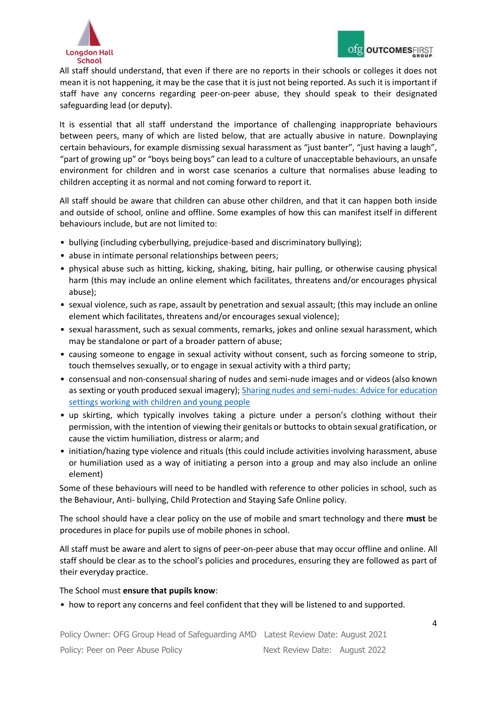

All staff should understand, that even if there are no reports in their schools or colleges it does not mean it is not happening, it may be the case that it is just not being reported. As such it is important if staff have any concerns regarding peer-on-peer abuse, they should speak to their designated safeguarding lead (or deputy).

It is essential that all staff understand the importance of challenging inappropriate behaviours between peers, many of which are listed below, that are actually abusive in nature. Downplaying certain behaviours, for example dismissing sexual harassment as "just banter", "just having a laugh", "part of growing up" or "boys being boys" can lead to a culture of unacceptable behaviours, an unsafe environment for children and in worst case scenarios a culture that normalises abuse leading to children accepting it as normal and not coming forward to report it.

All staff should be aware that children can abuse other children, and that it can happen both inside and outside of school, online and offline. Some examples of how this can manifest itself in different behaviours include, but are not limited to:

- bullying (including cyberbullying, prejudice-based and discriminatory bullying);
- abuse in intimate personal relationships between peers;
- physical abuse such as hitting, kicking, shaking, biting, hair pulling, or otherwise causing physical harm (this may include an online element which facilitates, threatens and/or encourages physical abuse);
- sexual violence, such as rape, assault by penetration and sexual assault; (this may include an online element which facilitates, threatens and/or encourages sexual violence);
- sexual harassment, such as sexual comments, remarks, jokes and online sexual harassment, which may be standalone or part of a broader pattern of abuse;
- causing someone to engage in sexual activity without consent, such as forcing someone to strip, touch themselves sexually, or to engage in sexual activity with a third party;
- consensual and non-consensual sharing of nudes and semi-nude images and or videos (also known as sexting or youth produced sexual imagery)[;](https://www.gov.uk/government/publications/sharing-nudes-and-semi-nudes-advice-for-education-settings-working-with-children-and-young-people/sharing-nudes-and-semi-nudes-advice-for-education-settings-working-with-children-and-young-people) [Sharing nudes and semi-nudes: Advice for education](https://www.gov.uk/government/publications/sharing-nudes-and-semi-nudes-advice-for-education-settings-working-with-children-and-young-people/sharing-nudes-and-semi-nudes-advice-for-education-settings-working-with-children-and-young-people) [settings working with children and young people](https://www.gov.uk/government/publications/sharing-nudes-and-semi-nudes-advice-for-education-settings-working-with-children-and-young-people/sharing-nudes-and-semi-nudes-advice-for-education-settings-working-with-children-and-young-people)
- up skirting, which typically involves taking a picture under a person's clothing without their permission, with the intention of viewing their genitals or buttocks to obtain sexual gratification, or cause the victim humiliation, distress or alarm; and
- initiation/hazing type violence and rituals (this could include activities involving harassment, abuse or humiliation used as a way of initiating a person into a group and may also include an online element)

Some of these behaviours will need to be handled with reference to other policies in school, such as the Behaviour, Anti- bullying, Child Protection and Staying Safe Online policy.

The school should have a clear policy on the use of mobile and smart technology and there **must** be procedures in place for pupils use of mobile phones in school.

All staff must be aware and alert to signs of peer-on-peer abuse that may occur offline and online. All staff should be clear as to the school's policies and procedures, ensuring they are followed as part of their everyday practice.

#### The School must **ensure that pupils know**:

• how to report any concerns and feel confident that they will be listened to and supported.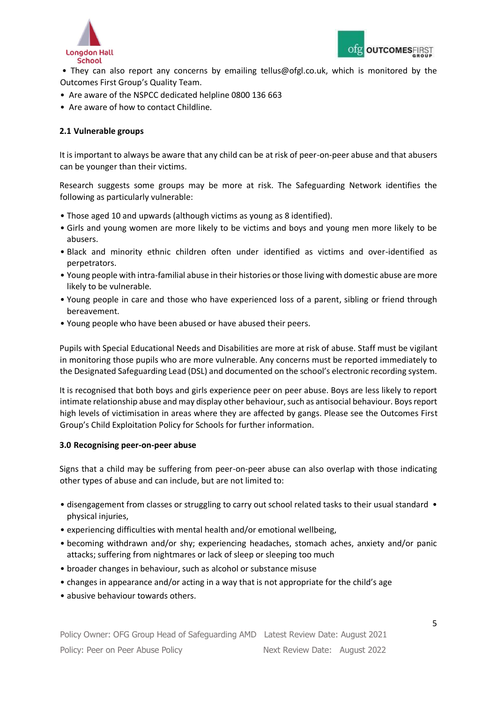



• They can also report any concerns by emailing tellus@ofgl.co.uk, which is monitored by the Outcomes First Group's Quality Team.

- Are aware of the NSPCC dedicated helpline 0800 136 663
- Are aware of how to contact Childline.

## **2.1 Vulnerable groups**

It is important to always be aware that any child can be at risk of peer-on-peer abuse and that abusers can be younger than their victims.

Research suggests some groups may be more at risk. The Safeguarding Network identifies the following as particularly vulnerable:

- Those aged 10 and upwards (although victims as young as 8 identified).
- Girls and young women are more likely to be victims and boys and young men more likely to be abusers.
- Black and minority ethnic children often under identified as victims and over-identified as perpetrators.
- Young people with intra-familial abuse in their histories or those living with domestic abuse are more likely to be vulnerable.
- Young people in care and those who have experienced loss of a parent, sibling or friend through bereavement.
- Young people who have been abused or have abused their peers.

Pupils with Special Educational Needs and Disabilities are more at risk of abuse. Staff must be vigilant in monitoring those pupils who are more vulnerable. Any concerns must be reported immediately to the Designated Safeguarding Lead (DSL) and documented on the school's electronic recording system.

It is recognised that both boys and girls experience peer on peer abuse. Boys are less likely to report intimate relationship abuse and may display other behaviour, such as antisocial behaviour. Boys report high levels of victimisation in areas where they are affected by gangs. Please see the Outcomes First Group's Child Exploitation Policy for Schools for further information.

#### **3.0 Recognising peer-on-peer abuse**

Signs that a child may be suffering from peer-on-peer abuse can also overlap with those indicating other types of abuse and can include, but are not limited to:

- disengagement from classes or struggling to carry out school related tasks to their usual standard physical injuries,
- experiencing difficulties with mental health and/or emotional wellbeing,
- becoming withdrawn and/or shy; experiencing headaches, stomach aches, anxiety and/or panic attacks; suffering from nightmares or lack of sleep or sleeping too much
- broader changes in behaviour, such as alcohol or substance misuse
- changes in appearance and/or acting in a way that is not appropriate for the child's age
- abusive behaviour towards others.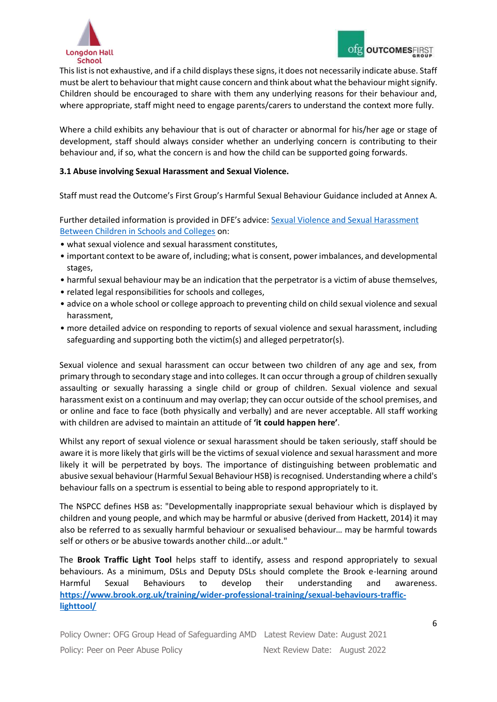

This list is not exhaustive, and if a child displays these signs, it does not necessarily indicate abuse. Staff must be alert to behaviour that might cause concern and think about what the behaviour might signify. Children should be encouraged to share with them any underlying reasons for their behaviour and, where appropriate, staff might need to engage parents/carers to understand the context more fully.

Where a child exhibits any behaviour that is out of character or abnormal for his/her age or stage of development, staff should always consider whether an underlying concern is contributing to their behaviour and, if so, what the concern is and how the child can be supported going forwards.

## **3.1 Abuse involving Sexual Harassment and Sexual Violence.**

Staff must read the Outcome's First Group's Harmful Sexual Behaviour Guidance included at Annex A.

Further detailed information is provided in DFE's advice: [Sexual Violence and Sexual Harassment](https://assets.publishing.service.gov.uk/government/uploads/system/uploads/attachment_data/file/999239/SVSH_2021.pdf) [Between Children in Schools and Colleges](https://assets.publishing.service.gov.uk/government/uploads/system/uploads/attachment_data/file/999239/SVSH_2021.pdf) on:

- what sexual violence and sexual harassment constitutes,
- important context to be aware of, including; what is consent, power imbalances, and developmental stages,
- harmful sexual behaviour may be an indication that the perpetrator is a victim of abuse themselves,
- related legal responsibilities for schools and colleges,
- advice on a whole school or college approach to preventing child on child sexual violence and sexual harassment,
- more detailed advice on responding to reports of sexual violence and sexual harassment, including safeguarding and supporting both the victim(s) and alleged perpetrator(s).

Sexual violence and sexual harassment can occur between two children of any age and sex, from primary through to secondary stage and into colleges. It can occur through a group of children sexually assaulting or sexually harassing a single child or group of children. Sexual violence and sexual harassment exist on a continuum and may overlap; they can occur outside of the school premises, and or online and face to face (both physically and verbally) and are never acceptable. All staff working with children are advised to maintain an attitude of **'it could happen here'**.

Whilst any report of sexual violence or sexual harassment should be taken seriously, staff should be aware it is more likely that girls will be the victims of sexual violence and sexual harassment and more likely it will be perpetrated by boys. The importance of distinguishing between problematic and abusive sexual behaviour (Harmful Sexual Behaviour HSB) is recognised. Understanding where a child's behaviour falls on a spectrum is essential to being able to respond appropriately to it.

The NSPCC defines HSB as: "Developmentally inappropriate sexual behaviour which is displayed by children and young people, and which may be harmful or abusive (derived from Hackett, 2014) it may also be referred to as sexually harmful behaviour or sexualised behaviour… may be harmful towards self or others or be abusive towards another child…or adult."

The **Brook Traffic Light Tool** helps staff to identify, assess and respond appropriately to sexual behaviours. As a minimum, DSLs and Deputy DSLs should complete the Brook e-learning around Harmful Sexual Behaviours to develop their understanding and awareness. **[https://www.brook.org.uk/training/wider-professional-training/sexual-behaviours-traffic](https://www.brook.org.uk/training/wider-professional-training/sexual-behaviours-traffic-light-tool/)[lighttool/](https://www.brook.org.uk/training/wider-professional-training/sexual-behaviours-traffic-light-tool/)**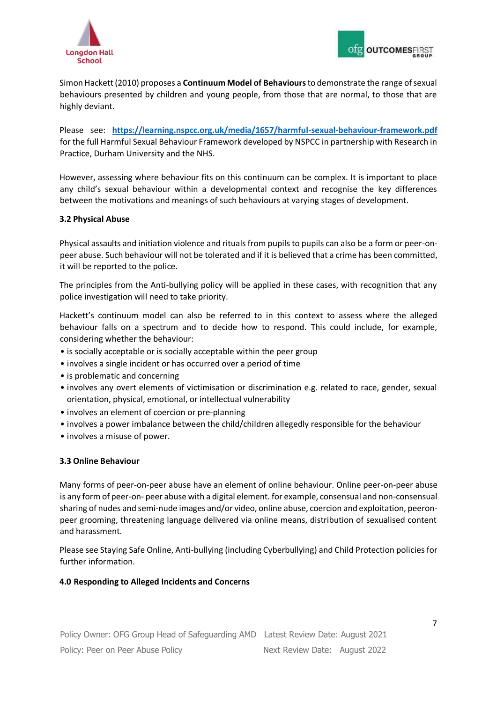



Simon Hackett (2010) proposes a **Continuum Model of Behaviours**to demonstrate the range of sexual behaviours presented by children and young people, from those that are normal, to those that are highly deviant.

Please see: **<https://learning.nspcc.org.uk/media/1657/harmful-sexual-behaviour-framework.pdf>** for the full Harmful Sexual Behaviour Framework developed by NSPCC in partnership with Research in Practice, Durham University and the NHS.

However, assessing where behaviour fits on this continuum can be complex. It is important to place any child's sexual behaviour within a developmental context and recognise the key differences between the motivations and meanings of such behaviours at varying stages of development.

#### **3.2 Physical Abuse**

Physical assaults and initiation violence and rituals from pupils to pupils can also be a form or peer-onpeer abuse. Such behaviour will not be tolerated and if it is believed that a crime has been committed, it will be reported to the police.

The principles from the Anti-bullying policy will be applied in these cases, with recognition that any police investigation will need to take priority.

Hackett's continuum model can also be referred to in this context to assess where the alleged behaviour falls on a spectrum and to decide how to respond. This could include, for example, considering whether the behaviour:

- is socially acceptable or is socially acceptable within the peer group
- involves a single incident or has occurred over a period of time
- is problematic and concerning
- involves any overt elements of victimisation or discrimination e.g. related to race, gender, sexual orientation, physical, emotional, or intellectual vulnerability
- involves an element of coercion or pre-planning
- involves a power imbalance between the child/children allegedly responsible for the behaviour
- involves a misuse of power.

#### **3.3 Online Behaviour**

Many forms of peer-on-peer abuse have an element of online behaviour. Online peer-on-peer abuse is any form of peer-on- peer abuse with a digital element. for example, consensual and non-consensual sharing of nudes and semi-nude images and/or video, online abuse, coercion and exploitation, peeronpeer grooming, threatening language delivered via online means, distribution of sexualised content and harassment.

Please see Staying Safe Online, Anti-bullying (including Cyberbullying) and Child Protection policies for further information.

#### **4.0 Responding to Alleged Incidents and Concerns**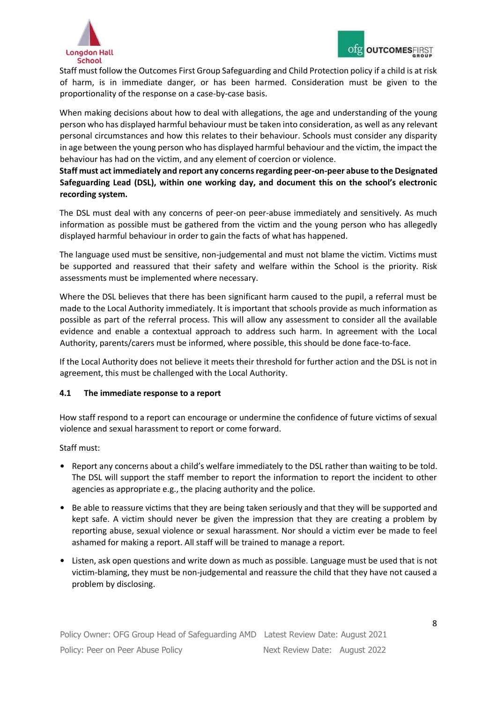

Staff must follow the Outcomes First Group Safeguarding and Child Protection policy if a child is at risk of harm, is in immediate danger, or has been harmed. Consideration must be given to the proportionality of the response on a case-by-case basis.

When making decisions about how to deal with allegations, the age and understanding of the young person who has displayed harmful behaviour must be taken into consideration, as well as any relevant personal circumstances and how this relates to their behaviour. Schools must consider any disparity in age between the young person who has displayed harmful behaviour and the victim, the impact the behaviour has had on the victim, and any element of coercion or violence.

**Staff must act immediately and report any concerns regarding peer-on-peer abuse to the Designated Safeguarding Lead (DSL), within one working day, and document this on the school's electronic recording system.**

The DSL must deal with any concerns of peer-on peer-abuse immediately and sensitively. As much information as possible must be gathered from the victim and the young person who has allegedly displayed harmful behaviour in order to gain the facts of what has happened.

The language used must be sensitive, non-judgemental and must not blame the victim. Victims must be supported and reassured that their safety and welfare within the School is the priority. Risk assessments must be implemented where necessary.

Where the DSL believes that there has been significant harm caused to the pupil, a referral must be made to the Local Authority immediately. It is important that schools provide as much information as possible as part of the referral process. This will allow any assessment to consider all the available evidence and enable a contextual approach to address such harm. In agreement with the Local Authority, parents/carers must be informed, where possible, this should be done face-to-face.

If the Local Authority does not believe it meets their threshold for further action and the DSL is not in agreement, this must be challenged with the Local Authority.

# **4.1 The immediate response to a report**

How staff respond to a report can encourage or undermine the confidence of future victims of sexual violence and sexual harassment to report or come forward.

Staff must:

- Report any concerns about a child's welfare immediately to the DSL rather than waiting to be told. The DSL will support the staff member to report the information to report the incident to other agencies as appropriate e.g., the placing authority and the police.
- Be able to reassure victims that they are being taken seriously and that they will be supported and kept safe. A victim should never be given the impression that they are creating a problem by reporting abuse, sexual violence or sexual harassment. Nor should a victim ever be made to feel ashamed for making a report. All staff will be trained to manage a report.
- Listen, ask open questions and write down as much as possible. Language must be used that is not victim-blaming, they must be non-judgemental and reassure the child that they have not caused a problem by disclosing.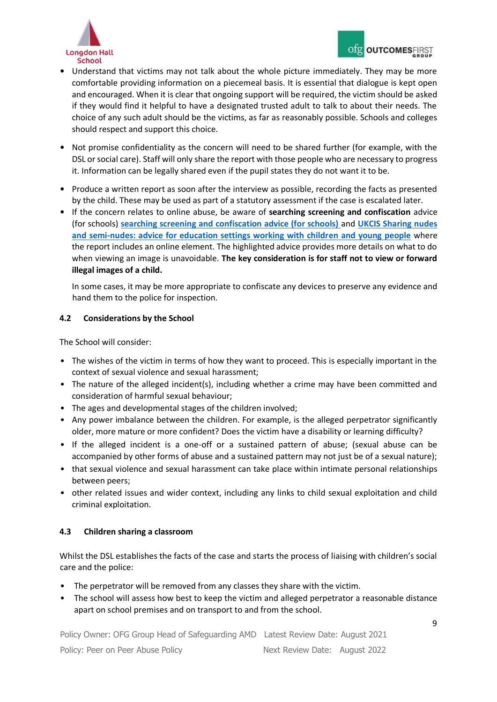

- Understand that victims may not talk about the whole picture immediately. They may be more comfortable providing information on a piecemeal basis. It is essential that dialogue is kept open and encouraged. When it is clear that ongoing support will be required, the victim should be asked if they would find it helpful to have a designated trusted adult to talk to about their needs. The choice of any such adult should be the victims, as far as reasonably possible. Schools and colleges should respect and support this choice.
- Not promise confidentiality as the concern will need to be shared further (for example, with the DSL or social care). Staff will only share the report with those people who are necessary to progress it. Information can be legally shared even if the pupil states they do not want it to be.
- Produce a written report as soon after the interview as possible, recording the facts as presented by the child. These may be used as part of a statutory assessment if the case is escalated later.
- If the concern relates to online abuse, be aware of **searching screening and confiscation** advice (for schools) **[searching screening and confiscation advice \(for schools\)](https://www.gov.uk/government/publications/searching-screening-and-confiscation)** [an](https://www.gov.uk/government/publications/searching-screening-and-confiscation)d **[UKCIS Sharing nudes](https://www.gov.uk/government/publications/sharing-nudes-and-semi-nudes-advice-for-education-settings-working-with-children-and-young-people/sharing-nudes-and-semi-nudes-advice-for-education-settings-working-with-children-and-young-people) [and semi-nudes: advice for education settings working with children and young people](https://www.gov.uk/government/publications/sharing-nudes-and-semi-nudes-advice-for-education-settings-working-with-children-and-young-people/sharing-nudes-and-semi-nudes-advice-for-education-settings-working-with-children-and-young-people)** where the report includes an online element. The highlighted advice provides more details on what to do when viewing an image is unavoidable. **The key consideration is for staff not to view or forward illegal images of a child.**

In some cases, it may be more appropriate to confiscate any devices to preserve any evidence and hand them to the police for inspection.

# **4.2 Considerations by the School**

The School will consider:

- The wishes of the victim in terms of how they want to proceed. This is especially important in the context of sexual violence and sexual harassment;
- The nature of the alleged incident(s), including whether a crime may have been committed and consideration of harmful sexual behaviour;
- The ages and developmental stages of the children involved;
- Any power imbalance between the children. For example, is the alleged perpetrator significantly older, more mature or more confident? Does the victim have a disability or learning difficulty?
- If the alleged incident is a one-off or a sustained pattern of abuse; (sexual abuse can be accompanied by other forms of abuse and a sustained pattern may not just be of a sexual nature);
- that sexual violence and sexual harassment can take place within intimate personal relationships between peers;
- other related issues and wider context, including any links to child sexual exploitation and child criminal exploitation.

# **4.3 Children sharing a classroom**

Whilst the DSL establishes the facts of the case and starts the process of liaising with children's social care and the police:

- The perpetrator will be removed from any classes they share with the victim.
- The school will assess how best to keep the victim and alleged perpetrator a reasonable distance apart on school premises and on transport to and from the school.

Policy Owner: OFG Group Head of Safeguarding AMD Latest Review Date: August 2021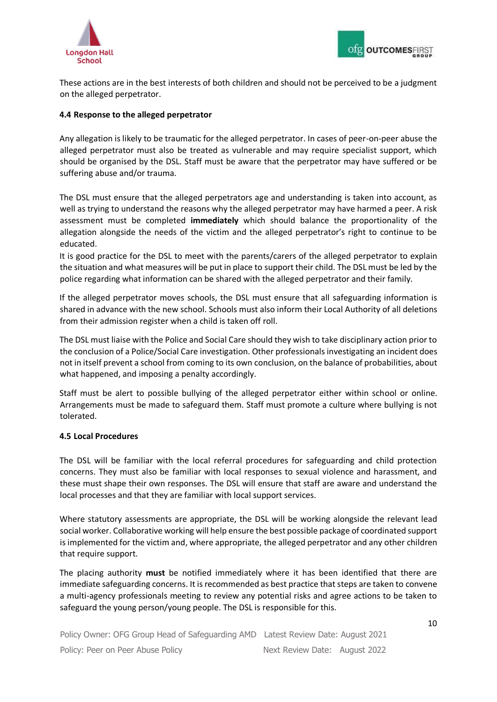



These actions are in the best interests of both children and should not be perceived to be a judgment on the alleged perpetrator.

## **4.4 Response to the alleged perpetrator**

Any allegation is likely to be traumatic for the alleged perpetrator. In cases of peer-on-peer abuse the alleged perpetrator must also be treated as vulnerable and may require specialist support, which should be organised by the DSL. Staff must be aware that the perpetrator may have suffered or be suffering abuse and/or trauma.

The DSL must ensure that the alleged perpetrators age and understanding is taken into account, as well as trying to understand the reasons why the alleged perpetrator may have harmed a peer. A risk assessment must be completed **immediately** which should balance the proportionality of the allegation alongside the needs of the victim and the alleged perpetrator's right to continue to be educated.

It is good practice for the DSL to meet with the parents/carers of the alleged perpetrator to explain the situation and what measures will be put in place to support their child. The DSL must be led by the police regarding what information can be shared with the alleged perpetrator and their family.

If the alleged perpetrator moves schools, the DSL must ensure that all safeguarding information is shared in advance with the new school. Schools must also inform their Local Authority of all deletions from their admission register when a child is taken off roll.

The DSL must liaise with the Police and Social Care should they wish to take disciplinary action prior to the conclusion of a Police/Social Care investigation. Other professionals investigating an incident does not in itself prevent a school from coming to its own conclusion, on the balance of probabilities, about what happened, and imposing a penalty accordingly.

Staff must be alert to possible bullying of the alleged perpetrator either within school or online. Arrangements must be made to safeguard them. Staff must promote a culture where bullying is not tolerated.

#### **4.5 Local Procedures**

The DSL will be familiar with the local referral procedures for safeguarding and child protection concerns. They must also be familiar with local responses to sexual violence and harassment, and these must shape their own responses. The DSL will ensure that staff are aware and understand the local processes and that they are familiar with local support services.

Where statutory assessments are appropriate, the DSL will be working alongside the relevant lead social worker. Collaborative working will help ensure the best possible package of coordinated support is implemented for the victim and, where appropriate, the alleged perpetrator and any other children that require support.

The placing authority **must** be notified immediately where it has been identified that there are immediate safeguarding concerns. It is recommended as best practice that steps are taken to convene a multi-agency professionals meeting to review any potential risks and agree actions to be taken to safeguard the young person/young people. The DSL is responsible for this.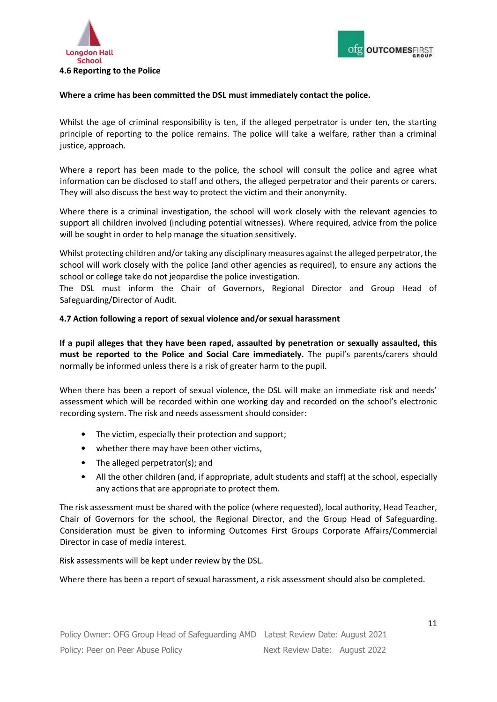



#### **Where a crime has been committed the DSL must immediately contact the police.**

Whilst the age of criminal responsibility is ten, if the alleged perpetrator is under ten, the starting principle of reporting to the police remains. The police will take a welfare, rather than a criminal justice, approach.

Where a report has been made to the police, the school will consult the police and agree what information can be disclosed to staff and others, the alleged perpetrator and their parents or carers. They will also discuss the best way to protect the victim and their anonymity.

Where there is a criminal investigation, the school will work closely with the relevant agencies to support all children involved (including potential witnesses). Where required, advice from the police will be sought in order to help manage the situation sensitively.

Whilst protecting children and/or taking any disciplinary measures against the alleged perpetrator, the school will work closely with the police (and other agencies as required), to ensure any actions the school or college take do not jeopardise the police investigation.

The DSL must inform the Chair of Governors, Regional Director and Group Head of Safeguarding/Director of Audit.

#### **4.7 Action following a report of sexual violence and/or sexual harassment**

**If a pupil alleges that they have been raped, assaulted by penetration or sexually assaulted, this must be reported to the Police and Social Care immediately.** The pupil's parents/carers should normally be informed unless there is a risk of greater harm to the pupil.

When there has been a report of sexual violence, the DSL will make an immediate risk and needs' assessment which will be recorded within one working day and recorded on the school's electronic recording system. The risk and needs assessment should consider:

- The victim, especially their protection and support;
- whether there may have been other victims,
- The alleged perpetrator(s); and
- All the other children (and, if appropriate, adult students and staff) at the school, especially any actions that are appropriate to protect them.

The risk assessment must be shared with the police (where requested), local authority, Head Teacher, Chair of Governors for the school, the Regional Director, and the Group Head of Safeguarding. Consideration must be given to informing Outcomes First Groups Corporate Affairs/Commercial Director in case of media interest.

Risk assessments will be kept under review by the DSL.

Where there has been a report of sexual harassment, a risk assessment should also be completed.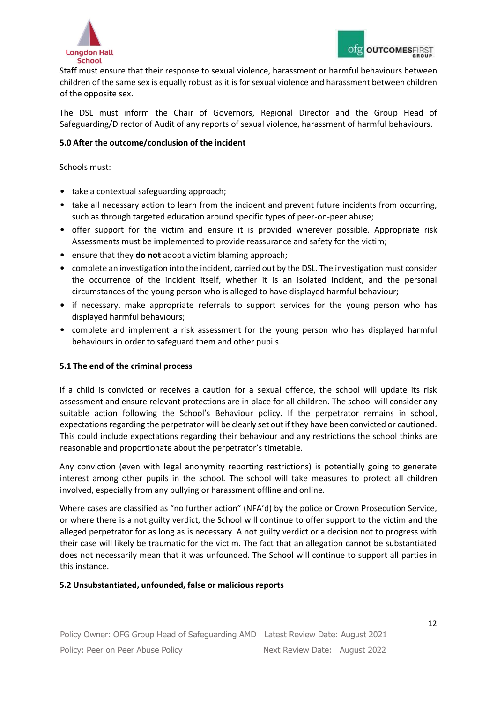

Staff must ensure that their response to sexual violence, harassment or harmful behaviours between children of the same sex is equally robust as it is for sexual violence and harassment between children of the opposite sex.

The DSL must inform the Chair of Governors, Regional Director and the Group Head of Safeguarding/Director of Audit of any reports of sexual violence, harassment of harmful behaviours.

## **5.0 After the outcome/conclusion of the incident**

Schools must:

- take a contextual safeguarding approach;
- take all necessary action to learn from the incident and prevent future incidents from occurring, such as through targeted education around specific types of peer-on-peer abuse;
- offer support for the victim and ensure it is provided wherever possible. Appropriate risk Assessments must be implemented to provide reassurance and safety for the victim;
- ensure that they **do not** adopt a victim blaming approach;
- complete an investigation into the incident, carried out by the DSL. The investigation must consider the occurrence of the incident itself, whether it is an isolated incident, and the personal circumstances of the young person who is alleged to have displayed harmful behaviour;
- if necessary, make appropriate referrals to support services for the young person who has displayed harmful behaviours;
- complete and implement a risk assessment for the young person who has displayed harmful behaviours in order to safeguard them and other pupils.

#### **5.1 The end of the criminal process**

If a child is convicted or receives a caution for a sexual offence, the school will update its risk assessment and ensure relevant protections are in place for all children. The school will consider any suitable action following the School's Behaviour policy. If the perpetrator remains in school, expectations regarding the perpetrator will be clearly set out if they have been convicted or cautioned. This could include expectations regarding their behaviour and any restrictions the school thinks are reasonable and proportionate about the perpetrator's timetable.

Any conviction (even with legal anonymity reporting restrictions) is potentially going to generate interest among other pupils in the school. The school will take measures to protect all children involved, especially from any bullying or harassment offline and online.

Where cases are classified as "no further action" (NFA'd) by the police or Crown Prosecution Service, or where there is a not guilty verdict, the School will continue to offer support to the victim and the alleged perpetrator for as long as is necessary. A not guilty verdict or a decision not to progress with their case will likely be traumatic for the victim. The fact that an allegation cannot be substantiated does not necessarily mean that it was unfounded. The School will continue to support all parties in this instance.

#### **5.2 Unsubstantiated, unfounded, false or malicious reports**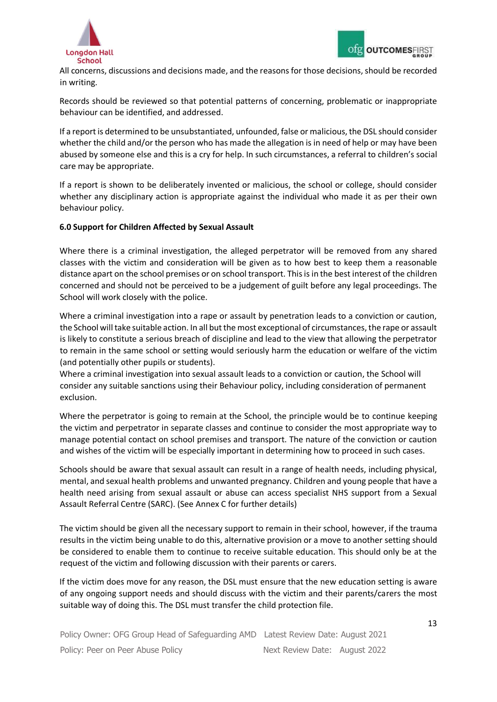

All concerns, discussions and decisions made, and the reasons for those decisions, should be recorded in writing.

Records should be reviewed so that potential patterns of concerning, problematic or inappropriate behaviour can be identified, and addressed.

If a report is determined to be unsubstantiated, unfounded, false or malicious, the DSL should consider whether the child and/or the person who has made the allegation is in need of help or may have been abused by someone else and this is a cry for help. In such circumstances, a referral to children's social care may be appropriate.

If a report is shown to be deliberately invented or malicious, the school or college, should consider whether any disciplinary action is appropriate against the individual who made it as per their own behaviour policy.

#### **6.0 Support for Children Affected by Sexual Assault**

Where there is a criminal investigation, the alleged perpetrator will be removed from any shared classes with the victim and consideration will be given as to how best to keep them a reasonable distance apart on the school premises or on school transport. This is in the best interest of the children concerned and should not be perceived to be a judgement of guilt before any legal proceedings. The School will work closely with the police.

Where a criminal investigation into a rape or assault by penetration leads to a conviction or caution, the School will take suitable action. In all but the most exceptional of circumstances, the rape or assault is likely to constitute a serious breach of discipline and lead to the view that allowing the perpetrator to remain in the same school or setting would seriously harm the education or welfare of the victim (and potentially other pupils or students).

Where a criminal investigation into sexual assault leads to a conviction or caution, the School will consider any suitable sanctions using their Behaviour policy, including consideration of permanent exclusion.

Where the perpetrator is going to remain at the School, the principle would be to continue keeping the victim and perpetrator in separate classes and continue to consider the most appropriate way to manage potential contact on school premises and transport. The nature of the conviction or caution and wishes of the victim will be especially important in determining how to proceed in such cases.

Schools should be aware that sexual assault can result in a range of health needs, including physical, mental, and sexual health problems and unwanted pregnancy. Children and young people that have a health need arising from sexual assault or abuse can access specialist NHS support from a Sexual Assault Referral Centre (SARC). (See Annex C for further details)

The victim should be given all the necessary support to remain in their school, however, if the trauma results in the victim being unable to do this, alternative provision or a move to another setting should be considered to enable them to continue to receive suitable education. This should only be at the request of the victim and following discussion with their parents or carers.

If the victim does move for any reason, the DSL must ensure that the new education setting is aware of any ongoing support needs and should discuss with the victim and their parents/carers the most suitable way of doing this. The DSL must transfer the child protection file.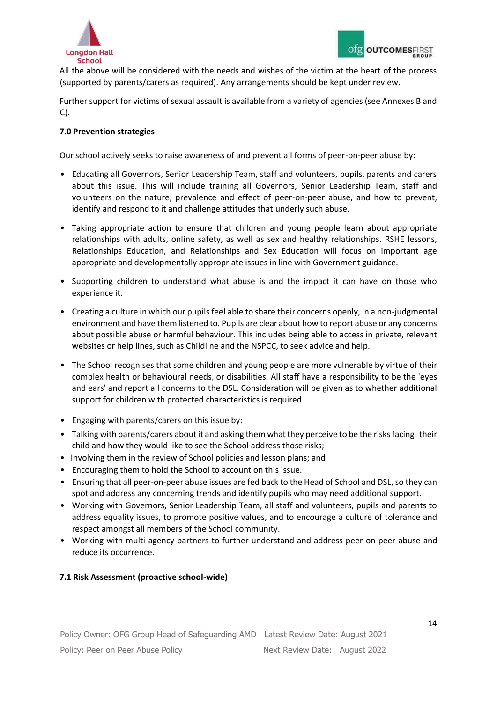

All the above will be considered with the needs and wishes of the victim at the heart of the process (supported by parents/carers as required). Any arrangements should be kept under review.

Further support for victims of sexual assault is available from a variety of agencies (see Annexes B and C).

## **7.0 Prevention strategies**

Our school actively seeks to raise awareness of and prevent all forms of peer-on-peer abuse by:

- Educating all Governors, Senior Leadership Team, staff and volunteers, pupils, parents and carers about this issue. This will include training all Governors, Senior Leadership Team, staff and volunteers on the nature, prevalence and effect of peer-on-peer abuse, and how to prevent, identify and respond to it and challenge attitudes that underly such abuse.
- Taking appropriate action to ensure that children and young people learn about appropriate relationships with adults, online safety, as well as sex and healthy relationships. RSHE lessons, Relationships Education, and Relationships and Sex Education will focus on important age appropriate and developmentally appropriate issues in line with Government guidance.
- Supporting children to understand what abuse is and the impact it can have on those who experience it.
- Creating a culture in which our pupils feel able to share their concerns openly, in a non-judgmental environment and have them listened to. Pupils are clear about how to report abuse or any concerns about possible abuse or harmful behaviour. This includes being able to access in private, relevant websites or help lines, such as Childline and the NSPCC, to seek advice and help.
- The School recognises that some children and young people are more vulnerable by virtue of their complex health or behavioural needs, or disabilities. All staff have a responsibility to be the 'eyes and ears' and report all concerns to the DSL. Consideration will be given as to whether additional support for children with protected characteristics is required.
- Engaging with parents/carers on this issue by:
- Talking with parents/carers about it and asking them what they perceive to be the risks facing their child and how they would like to see the School address those risks;
- Involving them in the review of School policies and lesson plans; and
- Encouraging them to hold the School to account on this issue.
- Ensuring that all peer-on-peer abuse issues are fed back to the Head of School and DSL, so they can spot and address any concerning trends and identify pupils who may need additional support.
- Working with Governors, Senior Leadership Team, all staff and volunteers, pupils and parents to address equality issues, to promote positive values, and to encourage a culture of tolerance and respect amongst all members of the School community.
- Working with multi-agency partners to further understand and address peer-on-peer abuse and reduce its occurrence.

#### **7.1 Risk Assessment (proactive school-wide)**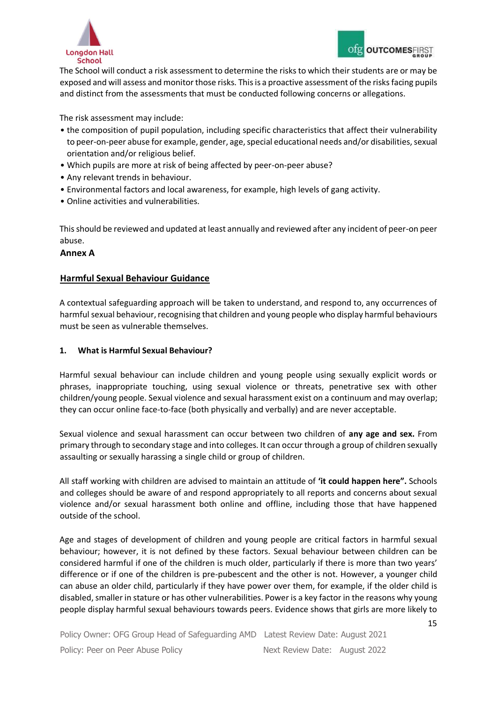



The School will conduct a risk assessment to determine the risks to which their students are or may be exposed and will assess and monitor those risks. This is a proactive assessment of the risks facing pupils and distinct from the assessments that must be conducted following concerns or allegations.

The risk assessment may include:

- the composition of pupil population, including specific characteristics that affect their vulnerability to peer-on-peer abuse for example, gender, age, special educational needs and/or disabilities, sexual orientation and/or religious belief.
- Which pupils are more at risk of being affected by peer-on-peer abuse?
- Any relevant trends in behaviour.
- Environmental factors and local awareness, for example, high levels of gang activity.
- Online activities and vulnerabilities.

This should be reviewed and updated at least annually and reviewed after any incident of peer-on peer abuse.

#### **Annex A**

#### **Harmful Sexual Behaviour Guidance**

A contextual safeguarding approach will be taken to understand, and respond to, any occurrences of harmful sexual behaviour, recognising that children and young people who display harmful behaviours must be seen as vulnerable themselves.

#### **1. What is Harmful Sexual Behaviour?**

Harmful sexual behaviour can include children and young people using sexually explicit words or phrases, inappropriate touching, using sexual violence or threats, penetrative sex with other children/young people. Sexual violence and sexual harassment exist on a continuum and may overlap; they can occur online face-to-face (both physically and verbally) and are never acceptable.

Sexual violence and sexual harassment can occur between two children of **any age and sex.** From primary through to secondary stage and into colleges. It can occur through a group of children sexually assaulting or sexually harassing a single child or group of children.

All staff working with children are advised to maintain an attitude of **'it could happen here".** Schools and colleges should be aware of and respond appropriately to all reports and concerns about sexual violence and/or sexual harassment both online and offline, including those that have happened outside of the school.

Age and stages of development of children and young people are critical factors in harmful sexual behaviour; however, it is not defined by these factors. Sexual behaviour between children can be considered harmful if one of the children is much older, particularly if there is more than two years' difference or if one of the children is pre-pubescent and the other is not. However, a younger child can abuse an older child, particularly if they have power over them, for example, if the older child is disabled,smaller in stature or has other vulnerabilities. Power is a key factor in the reasons why young people display harmful sexual behaviours towards peers. Evidence shows that girls are more likely to

Policy Owner: OFG Group Head of Safeguarding AMD Latest Review Date: August 2021 Policy: Peer on Peer Abuse Policy Next Review Date: August 2022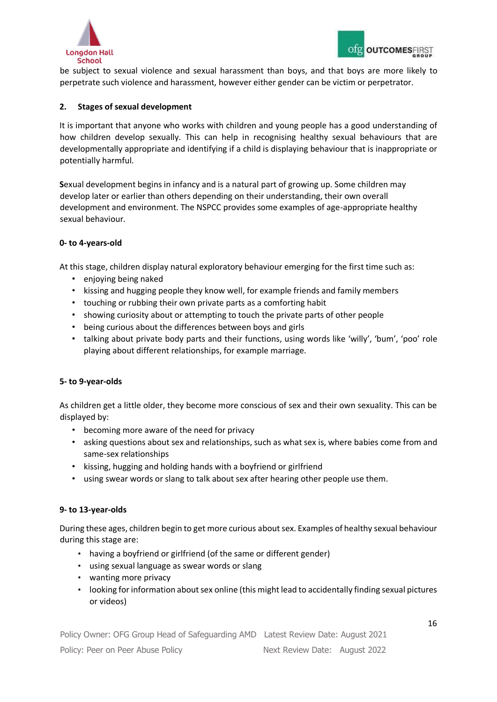

be subject to sexual violence and sexual harassment than boys, and that boys are more likely to perpetrate such violence and harassment, however either gender can be victim or perpetrator.

#### **2. Stages of sexual development**

It is important that anyone who works with children and young people has a good understanding of how children develop sexually. This can help in recognising healthy sexual behaviours that are developmentally appropriate and identifying if a child is displaying behaviour that is inappropriate or potentially harmful.

**S**exual development begins in infancy and is a natural part of growing up. Some children may develop later or earlier than others depending on their understanding, their own overall development and environment. The NSPCC provides some examples of age-appropriate healthy sexual behaviour.

## **0- to 4-years-old**

At this stage, children display natural exploratory behaviour emerging for the first time such as:

- enjoying being naked
- kissing and hugging people they know well, for example friends and family members
- touching or rubbing their own private parts as a comforting habit
- showing curiosity about or attempting to touch the private parts of other people
- being curious about the differences between boys and girls
- talking about private body parts and their functions, using words like 'willy', 'bum', 'poo' role playing about different relationships, for example marriage.

# **5- to 9-year-olds**

As children get a little older, they become more conscious of sex and their own sexuality. This can be displayed by:

- becoming more aware of the need for privacy
- asking questions about sex and relationships, such as what sex is, where babies come from and same-sex relationships
- kissing, hugging and holding hands with a boyfriend or girlfriend
- using swear words or slang to talk about sex after hearing other people use them.

#### **9- to 13-year-olds**

During these ages, children begin to get more curious about sex. Examples of healthy sexual behaviour during this stage are:

- having a boyfriend or girlfriend (of the same or different gender)
- using sexual language as swear words or slang
- wanting more privacy
- looking for information about sex online (this might lead to accidentally finding sexual pictures or videos)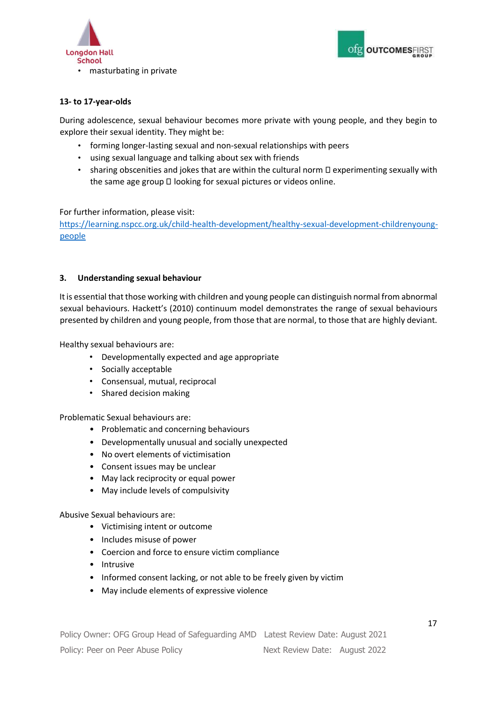



## **13- to 17-year-olds**

During adolescence, sexual behaviour becomes more private with young people, and they begin to explore their sexual identity. They might be:

- forming longer-lasting sexual and non-sexual relationships with peers
- using sexual language and talking about sex with friends
- sharing obscenities and jokes that are within the cultural norm  $\Box$  experimenting sexually with the same age group  $\Box$  looking for sexual pictures or videos online.

#### For further information, please visit:

[https://learning.nspcc.org.uk/child-health-development/healthy-sexual-development-childrenyoung](https://learning.nspcc.org.uk/child-health-development/healthy-sexual-development-children-young-people)[people](https://learning.nspcc.org.uk/child-health-development/healthy-sexual-development-children-young-people)

#### **3. Understanding sexual behaviour**

It is essential that those working with children and young people can distinguish normal from abnormal sexual behaviours. Hackett's (2010) continuum model demonstrates the range of sexual behaviours presented by children and young people, from those that are normal, to those that are highly deviant.

Healthy sexual behaviours are:

- Developmentally expected and age appropriate
- Socially acceptable
- Consensual, mutual, reciprocal
- Shared decision making

Problematic Sexual behaviours are:

- Problematic and concerning behaviours
- Developmentally unusual and socially unexpected
- No overt elements of victimisation
- Consent issues may be unclear
- May lack reciprocity or equal power
- May include levels of compulsivity

Abusive Sexual behaviours are:

- Victimising intent or outcome
- Includes misuse of power
- Coercion and force to ensure victim compliance
- Intrusive
- Informed consent lacking, or not able to be freely given by victim
- May include elements of expressive violence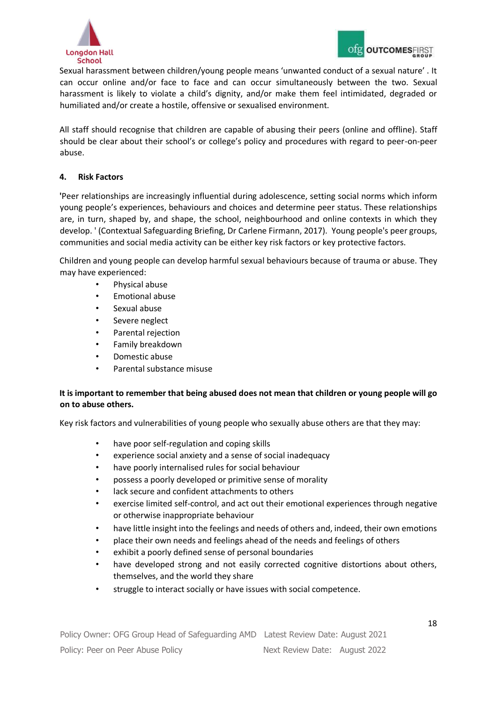

Sexual harassment between children/young people means 'unwanted conduct of a sexual nature' . It can occur online and/or face to face and can occur simultaneously between the two. Sexual harassment is likely to violate a child's dignity, and/or make them feel intimidated, degraded or humiliated and/or create a hostile, offensive or sexualised environment.

All staff should recognise that children are capable of abusing their peers (online and offline). Staff should be clear about their school's or college's policy and procedures with regard to peer-on-peer abuse.

# **4. Risk Factors**

**'**Peer relationships are increasingly influential during adolescence, setting social norms which inform young people's experiences, behaviours and choices and determine peer status. These relationships are, in turn, shaped by, and shape, the school, neighbourhood and online contexts in which they develop. ' (Contextual Safeguarding Briefing, Dr Carlene Firmann, 2017). Young people's peer groups, communities and social media activity can be either key risk factors or key protective factors.

Children and young people can develop harmful sexual behaviours because of trauma or abuse. They may have experienced:

- Physical abuse
- Emotional abuse
- Sexual abuse
- Severe neglect
- Parental rejection
- Family breakdown
- Domestic abuse
- Parental substance misuse

# **It is important to remember that being abused does not mean that children or young people will go on to abuse others.**

Key risk factors and vulnerabilities of young people who sexually abuse others are that they may:

- have poor self-regulation and coping skills
- experience social anxiety and a sense of social inadequacy
- have poorly internalised rules for social behaviour
- possess a poorly developed or primitive sense of morality
- lack secure and confident attachments to others
- exercise limited self-control, and act out their emotional experiences through negative or otherwise inappropriate behaviour
- have little insight into the feelings and needs of others and, indeed, their own emotions
- place their own needs and feelings ahead of the needs and feelings of others
- exhibit a poorly defined sense of personal boundaries
- have developed strong and not easily corrected cognitive distortions about others, themselves, and the world they share
- struggle to interact socially or have issues with social competence.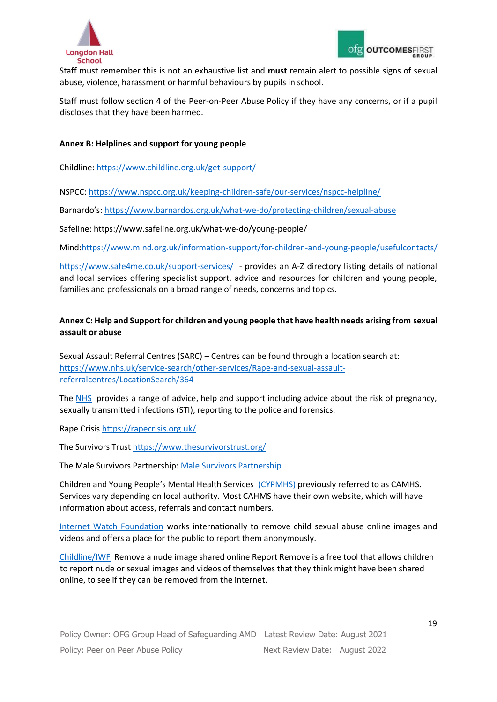

Staff must remember this is not an exhaustive list and **must** remain alert to possible signs of sexual abuse, violence, harassment or harmful behaviours by pupils in school.

Staff must follow section 4 of the Peer-on-Peer Abuse Policy if they have any concerns, or if a pupil discloses that they have been harmed.

#### **Annex B: Helplines and support for young people**

Childline[: https://www.childline.org.uk/get-support/](https://www.childline.org.uk/get-support/)

NSPCC:<https://www.nspcc.org.uk/keeping-children-safe/our-services/nspcc-helpline/>

Barnardo's: <https://www.barnardos.org.uk/what-we-do/protecting-children/sexual-abuse>

Safeline: https://www.safeline.org.uk/what-we-do/young-people/

Mind[:https://www.mind.org.uk/information-support/for-children-and-young-people/usefulcontacts/](https://www.mind.org.uk/information-support/for-children-and-young-people/useful-contacts/)

<https://www.safe4me.co.uk/support-services/> - provides an A-Z directory listing details of national and local services offering specialist support, advice and resources for children and young people, families and professionals on a broad range of needs, concerns and topics.

# **Annex C: Help and Support for children and young people that have health needs arising from sexual assault or abuse**

Sexual Assault Referral Centres (SARC) – Centres can be found through a location search at: [https://www.nhs.uk/service-search/other-services/Rape-and-sexual-assault](https://www.nhs.uk/service-search/other-services/Rape-and-sexual-assault-referral-centres/LocationSearch/364)[referralcentres/LocationSearch/364](https://www.nhs.uk/service-search/other-services/Rape-and-sexual-assault-referral-centres/LocationSearch/364)

The [NHS](https://www.nhs.uk/live-well/sexual-health/help-after-rape-and-sexual-assault/) provides a range of advice, help and support including advice about the risk of pregnancy, sexually transmitted infections (STI), reporting to the police and forensics.

Rape Crisis<https://rapecrisis.org.uk/>

The Survivors Trust<https://www.thesurvivorstrust.org/>

The Male Survivors Partnership[: Male Survivors Partnership](https://malesurvivor.co.uk/support-for-male-survivors/directory-of-services/)

Children and Young People's Mental Health Services [\(CYPMHS\)](https://www.nhs.uk/mental-health/nhs-voluntary-charity-services/nhs-services/children-young-people-mental-health-services-cypmhs/) previously referred to as CAMHS. Services vary depending on local authority. Most CAHMS have their own website, which will have information about access, referrals and contact numbers.

[Internet Watch Foundation](https://www.iwf.org.uk/) [w](https://www.iwf.org.uk/)orks internationally to remove child sexual abuse online images and videos and offers a place for the public to report them anonymously.

[Childline/IWF](https://www.childline.org.uk/info-advice/bullying-abuse-safety/online-mobile-safety/remove-nude-image-shared-online/) Remove a nude image shared online Report Remove is a free tool that allows children to report nude or sexual images and videos of themselves that they think might have been shared online, to see if they can be removed from the internet.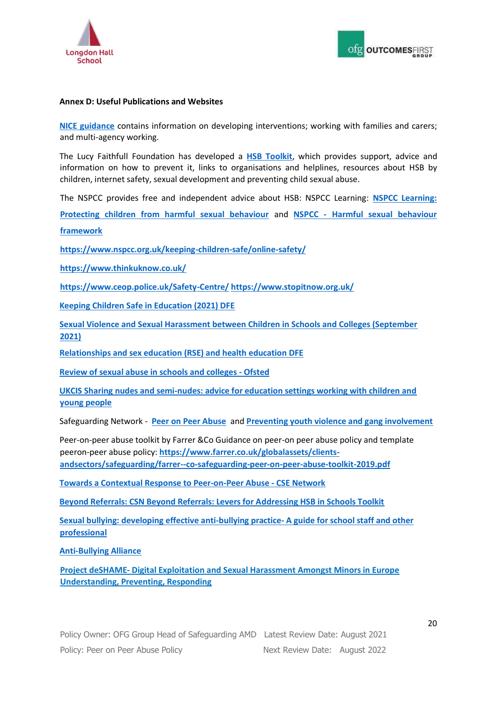

#### **Annex D: Useful Publications and Websites**

**[NICE guidance](https://www.nice.org.uk/guidance/ng55)** [c](https://www.nice.org.uk/guidance/ng55)ontains information on developing interventions; working with families and carers; and multi-agency working.

The Lucy Faithfull Foundation has developed a **[HSB Toolkit](https://www.stopitnow.org.uk/wp-content/uploads/2020/10/Stop_It_Now_harmful_sexual_behaviour_prevention_toolkit_Oct_2020.pdf)**[,](https://www.stopitnow.org.uk/wp-content/uploads/2020/10/Stop_It_Now_harmful_sexual_behaviour_prevention_toolkit_Oct_2020.pdf) which provides support, advice and information on how to prevent it, links to organisations and helplines, resources about HSB by children, internet safety, sexual development and preventing child sexual abuse.

The NSPCC provides free and independent advice about HSB: NSPCC Learning: **[NSPCC Learning:](https://learning.nspcc.org.uk/child-abuse-and-neglect/harmful-sexual-behaviour)**

**[Protecting children from harmful sexual behaviour](https://learning.nspcc.org.uk/child-abuse-and-neglect/harmful-sexual-behaviour)** [a](https://learning.nspcc.org.uk/child-abuse-and-neglect/harmful-sexual-behaviour)nd **[NSPCC -](https://learning.nspcc.org.uk/research-resources/2019/harmful-sexual-behaviour-framework) [Harmful sexual behaviour](https://learning.nspcc.org.uk/research-resources/2019/harmful-sexual-behaviour-framework)**

**[framework](https://learning.nspcc.org.uk/research-resources/2019/harmful-sexual-behaviour-framework)**

**[https://www.nspcc.org.uk/keeping-](https://www.nspcc.org.uk/keeping)[children-safe/online-safety/](https://www.nspcc.org.uk/keeping-children-safe/online-safety/)**

**<https://www.thinkuknow.co.uk/>**

**[https://www.ceop.police.uk/Safety-](https://www.ceop.police.uk/Safety)[Centre/](https://www.ceop.police.uk/Safety-Centre/) <https://www.stopitnow.org.uk/>**

**[Keeping Children Safe in Education \(2021\) DFE](https://assets.publishing.service.gov.uk/government/uploads/system/uploads/attachment_data/file/999348/Keeping_children_safe_in_education_2021.pdf)**

**[Sexual Violence and Sexual Harassment between Children in Schools and Colleges \(September](https://assets.publishing.service.gov.uk/government/uploads/system/uploads/attachment_data/file/999239/SVSH_2021.pdf)  [2021\)](https://assets.publishing.service.gov.uk/government/uploads/system/uploads/attachment_data/file/999239/SVSH_2021.pdf)**

**[Relationships and sex education \(RSE\) and health education DFE](https://www.gov.uk/government/publications/relationships-education-relationships-and-sex-education-rse-and-health-education)**

**[Review of sexual abuse in schools and colleges -](https://www.gov.uk/government/publications/review-of-sexual-abuse-in-schools-and-colleges/review-of-sexual-abuse-in-schools-and-colleges) [Ofsted](https://www.gov.uk/government/publications/review-of-sexual-abuse-in-schools-and-colleges/review-of-sexual-abuse-in-schools-and-colleges)**

**UKCIS Sharing [nudes and semi-nudes: advice for education settings working with children and](https://www.gov.uk/government/publications/sharing-nudes-and-semi-nudes-advice-for-education-settings-working-with-children-and-young-people/sharing-nudes-and-semi-nudes-advice-for-education-settings-working-with-children-and-young-people) [young people](https://www.gov.uk/government/publications/sharing-nudes-and-semi-nudes-advice-for-education-settings-working-with-children-and-young-people/sharing-nudes-and-semi-nudes-advice-for-education-settings-working-with-children-and-young-people)**

Safeguarding Network - **[Peer on Peer Abuse](https://safeguarding.network/safeguarding-resources/peer-peer-abuse/)** and **[Preventing youth violence and gang involvement](https://safeguarding.network/safeguarding-resources/gangs-youth-violence/)**

Peer-on-peer abuse toolkit by Farrer &Co Guidance on peer-on peer abuse policy and template peeron-peer abuse policy[:](https://www.farrer.co.uk/globalassets/clients-and-sectors/safeguarding/farrer--co-safeguarding-peer-on-peer-abuse-toolkit-2019.pdf) **[https://www.farrer.co.uk/globalassets/clients](https://www.farrer.co.uk/globalassets/clients-and-sectors/safeguarding/farrer--co-safeguarding-peer-on-peer-abuse-toolkit-2019.pdf)[andsectors/safeguarding/farrer--co-safeguarding-peer-on-peer-abuse-toolkit-2019.pdf](https://www.farrer.co.uk/globalassets/clients-and-sectors/safeguarding/farrer--co-safeguarding-peer-on-peer-abuse-toolkit-2019.pdf)**

**[Towards a Contextual Response to Peer-on-Peer Abuse -](https://www.csnetwork.org.uk/assets/documents/Towards-a-Contextual-Response-to-Peer-on-Peer-Abuse_161013_170057.pdf) [CSE Network](https://www.csnetwork.org.uk/assets/documents/Towards-a-Contextual-Response-to-Peer-on-Peer-Abuse_161013_170057.pdf)**

**[Beyond Referrals: CSN Beyond Referrals: Levers for Addressing HSB in Schools Toolkit](https://www.csnetwork.org.uk/assets/documents/CSN_BeyondReferrals_SchoolsGuidance_ARTWORK.pdf)**

**[Sexual bullying: developing](https://anti-bullyingalliance.org.uk/sites/default/files/uploads/attachments/Sexual%20bullying%20-%20anti-bullying%20guidance%20for%20teachers%20and%20other%20professionals%20-%20FINAL_0.pdf) [effective anti-bullying practice-](https://anti-bullyingalliance.org.uk/sites/default/files/uploads/attachments/Sexual%20bullying%20-%20anti-bullying%20guidance%20for%20teachers%20and%20other%20professionals%20-%20FINAL_0.pdf) [A guide for school staff and other](https://anti-bullyingalliance.org.uk/sites/default/files/uploads/attachments/Sexual%20bullying%20-%20anti-bullying%20guidance%20for%20teachers%20and%20other%20professionals%20-%20FINAL_0.pdf) [professional](https://anti-bullyingalliance.org.uk/sites/default/files/uploads/attachments/Sexual%20bullying%20-%20anti-bullying%20guidance%20for%20teachers%20and%20other%20professionals%20-%20FINAL_0.pdf)**

**[Anti-Bullying Alliance](https://anti-bullyingalliance.org.uk/)**

**[Project deSHAME-](https://www.childnet.com/ufiles/Project_deSHAME_Dec_2017_Report.pdf) [Digital Exploitation and Sexual Harassment Amongst Minors in Europe](https://www.childnet.com/ufiles/Project_deSHAME_Dec_2017_Report.pdf) [Understanding, Preventing, Responding](https://www.childnet.com/ufiles/Project_deSHAME_Dec_2017_Report.pdf)**